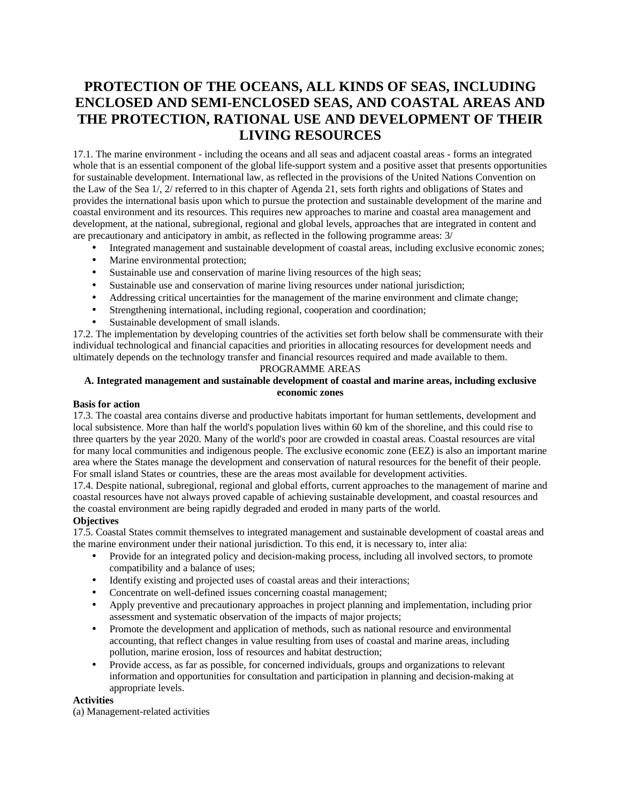# **PROTECTION OF THE OCEANS, ALL KINDS OF SEAS, INCLUDING ENCLOSED AND SEMI-ENCLOSED SEAS, AND COASTAL AREAS AND THE PROTECTION, RATIONAL USE AND DEVELOPMENT OF THEIR LIVING RESOURCES**

17.1. The marine environment - including the oceans and all seas and adjacent coastal areas - forms an integrated whole that is an essential component of the global life-support system and a positive asset that presents opportunities for sustainable development. International law, as reflected in the provisions of the United Nations Convention on the Law of the Sea 1/, 2/ referred to in this chapter of Agenda 21, sets forth rights and obligations of States and provides the international basis upon which to pursue the protection and sustainable development of the marine and coastal environment and its resources. This requires new approaches to marine and coastal area management and development, at the national, subregional, regional and global levels, approaches that are integrated in content and are precautionary and anticipatory in ambit, as reflected in the following programme areas: 3/

- Integrated management and sustainable development of coastal areas, including exclusive economic zones;
- Marine environmental protection;
- Sustainable use and conservation of marine living resources of the high seas;
- Sustainable use and conservation of marine living resources under national jurisdiction;
- Addressing critical uncertainties for the management of the marine environment and climate change;
- Strengthening international, including regional, cooperation and coordination;
- Sustainable development of small islands.

17.2. The implementation by developing countries of the activities set forth below shall be commensurate with their individual technological and financial capacities and priorities in allocating resources for development needs and ultimately depends on the technology transfer and financial resources required and made available to them.

#### PROGRAMME AREAS

#### **A. Integrated management and sustainable development of coastal and marine areas, including exclusive economic zones**

#### **Basis for action**

17.3. The coastal area contains diverse and productive habitats important for human settlements, development and local subsistence. More than half the world's population lives within 60 km of the shoreline, and this could rise to three quarters by the year 2020. Many of the world's poor are crowded in coastal areas. Coastal resources are vital for many local communities and indigenous people. The exclusive economic zone (EEZ) is also an important marine area where the States manage the development and conservation of natural resources for the benefit of their people. For small island States or countries, these are the areas most available for development activities.

17.4. Despite national, subregional, regional and global efforts, current approaches to the management of marine and coastal resources have not always proved capable of achieving sustainable development, and coastal resources and the coastal environment are being rapidly degraded and eroded in many parts of the world.

# **Objectives**

17.5. Coastal States commit themselves to integrated management and sustainable development of coastal areas and the marine environment under their national jurisdiction. To this end, it is necessary to, inter alia:

- Provide for an integrated policy and decision-making process, including all involved sectors, to promote compatibility and a balance of uses;
- Identify existing and projected uses of coastal areas and their interactions;
- Concentrate on well-defined issues concerning coastal management;
- Apply preventive and precautionary approaches in project planning and implementation, including prior assessment and systematic observation of the impacts of major projects;
- Promote the development and application of methods, such as national resource and environmental accounting, that reflect changes in value resulting from uses of coastal and marine areas, including pollution, marine erosion, loss of resources and habitat destruction;
- Provide access, as far as possible, for concerned individuals, groups and organizations to relevant information and opportunities for consultation and participation in planning and decision-making at appropriate levels.

#### **Activities**

(a) Management-related activities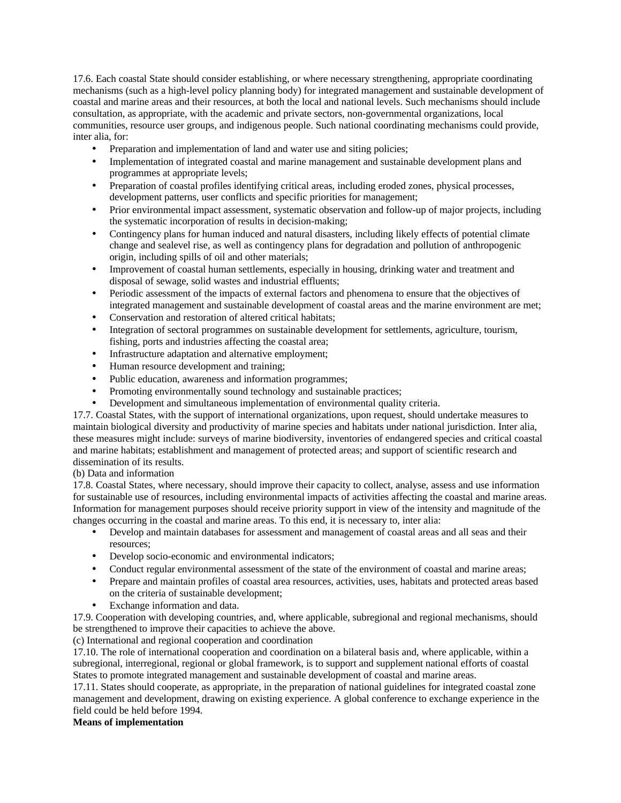17.6. Each coastal State should consider establishing, or where necessary strengthening, appropriate coordinating mechanisms (such as a high-level policy planning body) for integrated management and sustainable development of coastal and marine areas and their resources, at both the local and national levels. Such mechanisms should include consultation, as appropriate, with the academic and private sectors, non-governmental organizations, local communities, resource user groups, and indigenous people. Such national coordinating mechanisms could provide, inter alia, for:

- Preparation and implementation of land and water use and siting policies;
- Implementation of integrated coastal and marine management and sustainable development plans and programmes at appropriate levels;
- Preparation of coastal profiles identifying critical areas, including eroded zones, physical processes, development patterns, user conflicts and specific priorities for management;
- Prior environmental impact assessment, systematic observation and follow-up of major projects, including the systematic incorporation of results in decision-making;
- Contingency plans for human induced and natural disasters, including likely effects of potential climate change and sealevel rise, as well as contingency plans for degradation and pollution of anthropogenic origin, including spills of oil and other materials;
- Improvement of coastal human settlements, especially in housing, drinking water and treatment and disposal of sewage, solid wastes and industrial effluents;
- Periodic assessment of the impacts of external factors and phenomena to ensure that the objectives of integrated management and sustainable development of coastal areas and the marine environment are met;
- Conservation and restoration of altered critical habitats;
- Integration of sectoral programmes on sustainable development for settlements, agriculture, tourism, fishing, ports and industries affecting the coastal area;
- Infrastructure adaptation and alternative employment;
- Human resource development and training;
- Public education, awareness and information programmes;
- Promoting environmentally sound technology and sustainable practices;
- Development and simultaneous implementation of environmental quality criteria.

17.7. Coastal States, with the support of international organizations, upon request, should undertake measures to maintain biological diversity and productivity of marine species and habitats under national jurisdiction. Inter alia, these measures might include: surveys of marine biodiversity, inventories of endangered species and critical coastal and marine habitats; establishment and management of protected areas; and support of scientific research and dissemination of its results.

(b) Data and information

17.8. Coastal States, where necessary, should improve their capacity to collect, analyse, assess and use information for sustainable use of resources, including environmental impacts of activities affecting the coastal and marine areas. Information for management purposes should receive priority support in view of the intensity and magnitude of the changes occurring in the coastal and marine areas. To this end, it is necessary to, inter alia:

- Develop and maintain databases for assessment and management of coastal areas and all seas and their resources;
- Develop socio-economic and environmental indicators;
- Conduct regular environmental assessment of the state of the environment of coastal and marine areas;
- Prepare and maintain profiles of coastal area resources, activities, uses, habitats and protected areas based on the criteria of sustainable development;
- Exchange information and data.

17.9. Cooperation with developing countries, and, where applicable, subregional and regional mechanisms, should be strengthened to improve their capacities to achieve the above.

(c) International and regional cooperation and coordination

17.10. The role of international cooperation and coordination on a bilateral basis and, where applicable, within a subregional, interregional, regional or global framework, is to support and supplement national efforts of coastal States to promote integrated management and sustainable development of coastal and marine areas.

17.11. States should cooperate, as appropriate, in the preparation of national guidelines for integrated coastal zone management and development, drawing on existing experience. A global conference to exchange experience in the field could be held before 1994.

# **Means of implementation**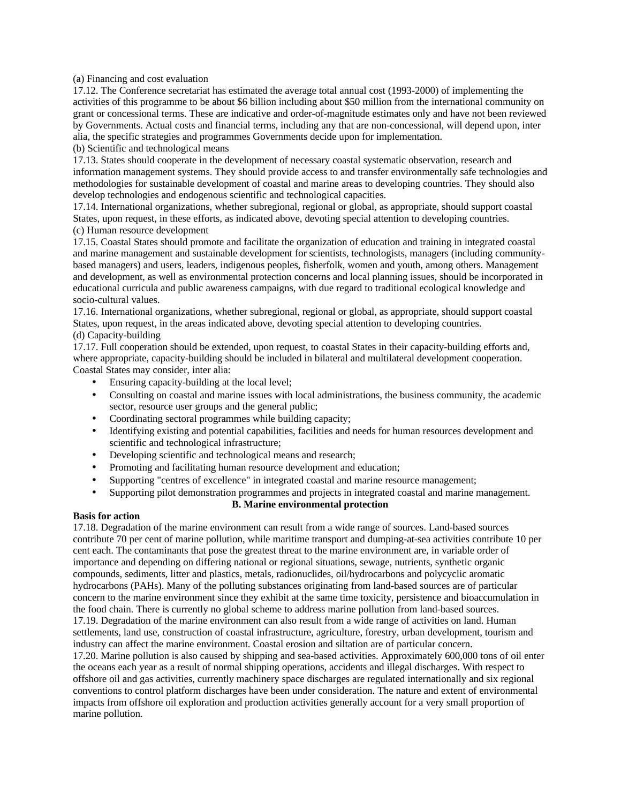(a) Financing and cost evaluation

17.12. The Conference secretariat has estimated the average total annual cost (1993-2000) of implementing the activities of this programme to be about \$6 billion including about \$50 million from the international community on grant or concessional terms. These are indicative and order-of-magnitude estimates only and have not been reviewed by Governments. Actual costs and financial terms, including any that are non-concessional, will depend upon, inter alia, the specific strategies and programmes Governments decide upon for implementation.

(b) Scientific and technological means

17.13. States should cooperate in the development of necessary coastal systematic observation, research and information management systems. They should provide access to and transfer environmentally safe technologies and methodologies for sustainable development of coastal and marine areas to developing countries. They should also develop technologies and endogenous scientific and technological capacities.

17.14. International organizations, whether subregional, regional or global, as appropriate, should support coastal States, upon request, in these efforts, as indicated above, devoting special attention to developing countries. (c) Human resource development

17.15. Coastal States should promote and facilitate the organization of education and training in integrated coastal and marine management and sustainable development for scientists, technologists, managers (including communitybased managers) and users, leaders, indigenous peoples, fisherfolk, women and youth, among others. Management and development, as well as environmental protection concerns and local planning issues, should be incorporated in educational curricula and public awareness campaigns, with due regard to traditional ecological knowledge and socio-cultural values.

17.16. International organizations, whether subregional, regional or global, as appropriate, should support coastal States, upon request, in the areas indicated above, devoting special attention to developing countries. (d) Capacity-building

17.17. Full cooperation should be extended, upon request, to coastal States in their capacity-building efforts and, where appropriate, capacity-building should be included in bilateral and multilateral development cooperation. Coastal States may consider, inter alia:

- Ensuring capacity-building at the local level;
- Consulting on coastal and marine issues with local administrations, the business community, the academic sector, resource user groups and the general public;
- Coordinating sectoral programmes while building capacity;
- Identifying existing and potential capabilities, facilities and needs for human resources development and scientific and technological infrastructure;
- Developing scientific and technological means and research;
- Promoting and facilitating human resource development and education;
- Supporting "centres of excellence" in integrated coastal and marine resource management;
- Supporting pilot demonstration programmes and projects in integrated coastal and marine management.

# **B. Marine environmental protection**

#### **Basis for action**

17.18. Degradation of the marine environment can result from a wide range of sources. Land-based sources contribute 70 per cent of marine pollution, while maritime transport and dumping-at-sea activities contribute 10 per cent each. The contaminants that pose the greatest threat to the marine environment are, in variable order of importance and depending on differing national or regional situations, sewage, nutrients, synthetic organic compounds, sediments, litter and plastics, metals, radionuclides, oil/hydrocarbons and polycyclic aromatic hydrocarbons (PAHs). Many of the polluting substances originating from land-based sources are of particular concern to the marine environment since they exhibit at the same time toxicity, persistence and bioaccumulation in the food chain. There is currently no global scheme to address marine pollution from land-based sources. 17.19. Degradation of the marine environment can also result from a wide range of activities on land. Human settlements, land use, construction of coastal infrastructure, agriculture, forestry, urban development, tourism and industry can affect the marine environment. Coastal erosion and siltation are of particular concern. 17.20. Marine pollution is also caused by shipping and sea-based activities. Approximately 600,000 tons of oil enter the oceans each year as a result of normal shipping operations, accidents and illegal discharges. With respect to offshore oil and gas activities, currently machinery space discharges are regulated internationally and six regional conventions to control platform discharges have been under consideration. The nature and extent of environmental impacts from offshore oil exploration and production activities generally account for a very small proportion of

marine pollution.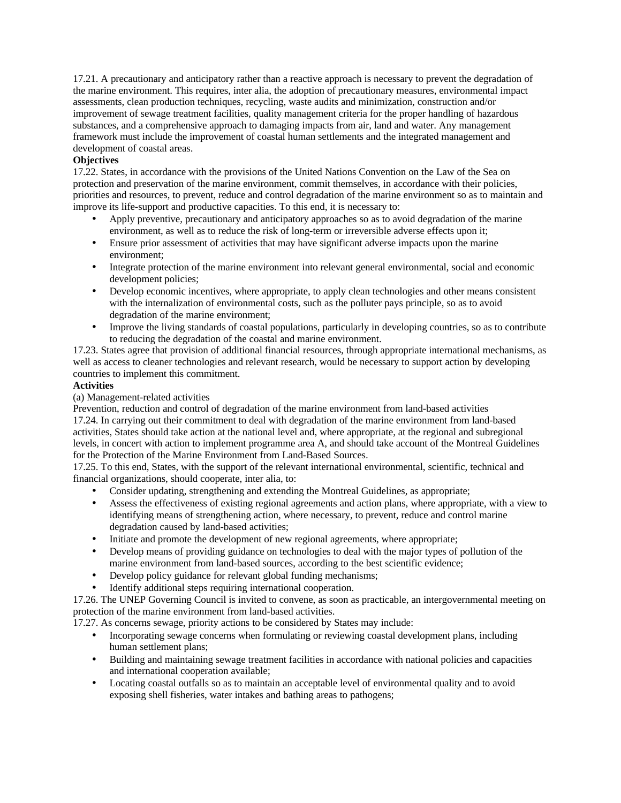17.21. A precautionary and anticipatory rather than a reactive approach is necessary to prevent the degradation of the marine environment. This requires, inter alia, the adoption of precautionary measures, environmental impact assessments, clean production techniques, recycling, waste audits and minimization, construction and/or improvement of sewage treatment facilities, quality management criteria for the proper handling of hazardous substances, and a comprehensive approach to damaging impacts from air, land and water. Any management framework must include the improvement of coastal human settlements and the integrated management and development of coastal areas.

# **Objectives**

17.22. States, in accordance with the provisions of the United Nations Convention on the Law of the Sea on protection and preservation of the marine environment, commit themselves, in accordance with their policies, priorities and resources, to prevent, reduce and control degradation of the marine environment so as to maintain and improve its life-support and productive capacities. To this end, it is necessary to:

- Apply preventive, precautionary and anticipatory approaches so as to avoid degradation of the marine environment, as well as to reduce the risk of long-term or irreversible adverse effects upon it;
- Ensure prior assessment of activities that may have significant adverse impacts upon the marine environment;
- Integrate protection of the marine environment into relevant general environmental, social and economic development policies;
- Develop economic incentives, where appropriate, to apply clean technologies and other means consistent with the internalization of environmental costs, such as the polluter pays principle, so as to avoid degradation of the marine environment;
- Improve the living standards of coastal populations, particularly in developing countries, so as to contribute to reducing the degradation of the coastal and marine environment.

17.23. States agree that provision of additional financial resources, through appropriate international mechanisms, as well as access to cleaner technologies and relevant research, would be necessary to support action by developing countries to implement this commitment.

#### **Activities**

#### (a) Management-related activities

Prevention, reduction and control of degradation of the marine environment from land-based activities 17.24. In carrying out their commitment to deal with degradation of the marine environment from land-based activities, States should take action at the national level and, where appropriate, at the regional and subregional levels, in concert with action to implement programme area A, and should take account of the Montreal Guidelines for the Protection of the Marine Environment from Land-Based Sources.

17.25. To this end, States, with the support of the relevant international environmental, scientific, technical and financial organizations, should cooperate, inter alia, to:

- Consider updating, strengthening and extending the Montreal Guidelines, as appropriate;
- Assess the effectiveness of existing regional agreements and action plans, where appropriate, with a view to identifying means of strengthening action, where necessary, to prevent, reduce and control marine degradation caused by land-based activities;
- Initiate and promote the development of new regional agreements, where appropriate;
- Develop means of providing guidance on technologies to deal with the major types of pollution of the marine environment from land-based sources, according to the best scientific evidence;
- Develop policy guidance for relevant global funding mechanisms;
- Identify additional steps requiring international cooperation.

17.26. The UNEP Governing Council is invited to convene, as soon as practicable, an intergovernmental meeting on protection of the marine environment from land-based activities.

17.27. As concerns sewage, priority actions to be considered by States may include:

- Incorporating sewage concerns when formulating or reviewing coastal development plans, including human settlement plans;
- Building and maintaining sewage treatment facilities in accordance with national policies and capacities and international cooperation available;
- Locating coastal outfalls so as to maintain an acceptable level of environmental quality and to avoid exposing shell fisheries, water intakes and bathing areas to pathogens;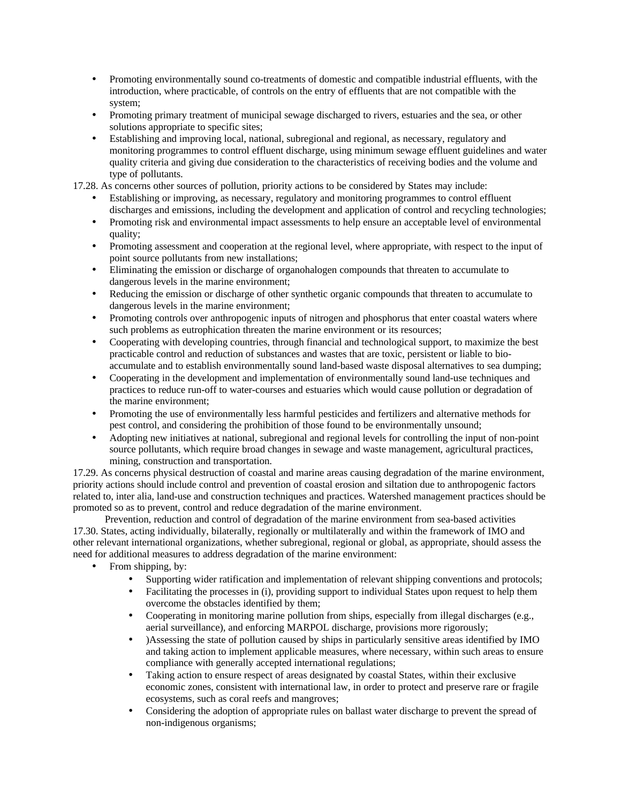- Promoting environmentally sound co-treatments of domestic and compatible industrial effluents, with the introduction, where practicable, of controls on the entry of effluents that are not compatible with the system;
- Promoting primary treatment of municipal sewage discharged to rivers, estuaries and the sea, or other solutions appropriate to specific sites;
- Establishing and improving local, national, subregional and regional, as necessary, regulatory and monitoring programmes to control effluent discharge, using minimum sewage effluent guidelines and water quality criteria and giving due consideration to the characteristics of receiving bodies and the volume and type of pollutants.

17.28. As concerns other sources of pollution, priority actions to be considered by States may include:

- Establishing or improving, as necessary, regulatory and monitoring programmes to control effluent discharges and emissions, including the development and application of control and recycling technologies;
- Promoting risk and environmental impact assessments to help ensure an acceptable level of environmental quality;
- Promoting assessment and cooperation at the regional level, where appropriate, with respect to the input of point source pollutants from new installations;
- Eliminating the emission or discharge of organohalogen compounds that threaten to accumulate to dangerous levels in the marine environment;
- Reducing the emission or discharge of other synthetic organic compounds that threaten to accumulate to dangerous levels in the marine environment;
- Promoting controls over anthropogenic inputs of nitrogen and phosphorus that enter coastal waters where such problems as eutrophication threaten the marine environment or its resources;
- Cooperating with developing countries, through financial and technological support, to maximize the best practicable control and reduction of substances and wastes that are toxic, persistent or liable to bioaccumulate and to establish environmentally sound land-based waste disposal alternatives to sea dumping;
- Cooperating in the development and implementation of environmentally sound land-use techniques and practices to reduce run-off to water-courses and estuaries which would cause pollution or degradation of the marine environment;
- Promoting the use of environmentally less harmful pesticides and fertilizers and alternative methods for pest control, and considering the prohibition of those found to be environmentally unsound;
- Adopting new initiatives at national, subregional and regional levels for controlling the input of non-point source pollutants, which require broad changes in sewage and waste management, agricultural practices, mining, construction and transportation.

17.29. As concerns physical destruction of coastal and marine areas causing degradation of the marine environment, priority actions should include control and prevention of coastal erosion and siltation due to anthropogenic factors related to, inter alia, land-use and construction techniques and practices. Watershed management practices should be promoted so as to prevent, control and reduce degradation of the marine environment.

Prevention, reduction and control of degradation of the marine environment from sea-based activities 17.30. States, acting individually, bilaterally, regionally or multilaterally and within the framework of IMO and other relevant international organizations, whether subregional, regional or global, as appropriate, should assess the need for additional measures to address degradation of the marine environment:

- From shipping, by:
	- Supporting wider ratification and implementation of relevant shipping conventions and protocols;
	- Facilitating the processes in (i), providing support to individual States upon request to help them overcome the obstacles identified by them;
	- Cooperating in monitoring marine pollution from ships, especially from illegal discharges (e.g., aerial surveillance), and enforcing MARPOL discharge, provisions more rigorously;
	- )Assessing the state of pollution caused by ships in particularly sensitive areas identified by IMO and taking action to implement applicable measures, where necessary, within such areas to ensure compliance with generally accepted international regulations;
	- Taking action to ensure respect of areas designated by coastal States, within their exclusive economic zones, consistent with international law, in order to protect and preserve rare or fragile ecosystems, such as coral reefs and mangroves;
	- Considering the adoption of appropriate rules on ballast water discharge to prevent the spread of non-indigenous organisms;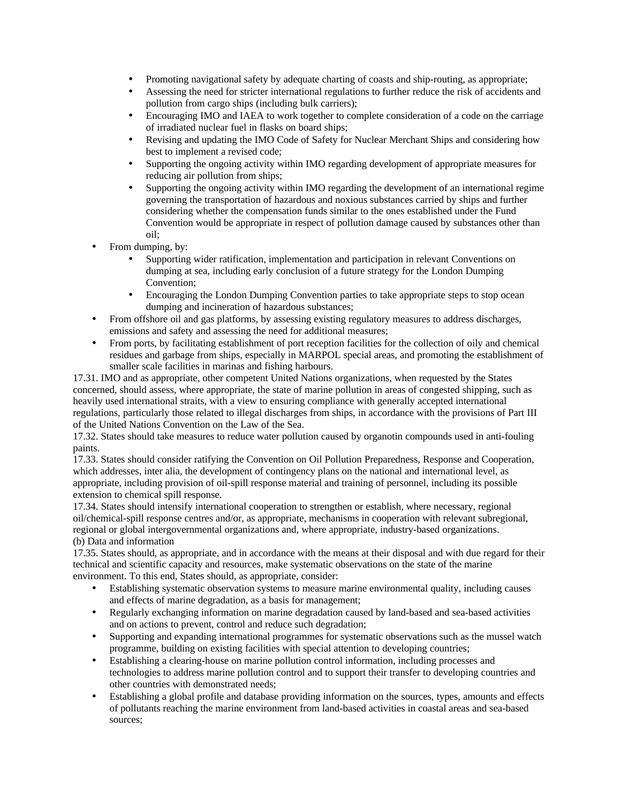- Promoting navigational safety by adequate charting of coasts and ship-routing, as appropriate;
- Assessing the need for stricter international regulations to further reduce the risk of accidents and pollution from cargo ships (including bulk carriers);
- Encouraging IMO and IAEA to work together to complete consideration of a code on the carriage of irradiated nuclear fuel in flasks on board ships;
- Revising and updating the IMO Code of Safety for Nuclear Merchant Ships and considering how best to implement a revised code;
- Supporting the ongoing activity within IMO regarding development of appropriate measures for reducing air pollution from ships;
- Supporting the ongoing activity within IMO regarding the development of an international regime governing the transportation of hazardous and noxious substances carried by ships and further considering whether the compensation funds similar to the ones established under the Fund Convention would be appropriate in respect of pollution damage caused by substances other than oil;
- From dumping, by:
	- Supporting wider ratification, implementation and participation in relevant Conventions on dumping at sea, including early conclusion of a future strategy for the London Dumping Convention;
	- Encouraging the London Dumping Convention parties to take appropriate steps to stop ocean dumping and incineration of hazardous substances;
- From offshore oil and gas platforms, by assessing existing regulatory measures to address discharges, emissions and safety and assessing the need for additional measures;
- From ports, by facilitating establishment of port reception facilities for the collection of oily and chemical residues and garbage from ships, especially in MARPOL special areas, and promoting the establishment of smaller scale facilities in marinas and fishing harbours.

17.31. IMO and as appropriate, other competent United Nations organizations, when requested by the States concerned, should assess, where appropriate, the state of marine pollution in areas of congested shipping, such as heavily used international straits, with a view to ensuring compliance with generally accepted international regulations, particularly those related to illegal discharges from ships, in accordance with the provisions of Part III of the United Nations Convention on the Law of the Sea.

17.32. States should take measures to reduce water pollution caused by organotin compounds used in anti-fouling paints.

17.33. States should consider ratifying the Convention on Oil Pollution Preparedness, Response and Cooperation, which addresses, inter alia, the development of contingency plans on the national and international level, as appropriate, including provision of oil-spill response material and training of personnel, including its possible extension to chemical spill response.

17.34. States should intensify international cooperation to strengthen or establish, where necessary, regional oil/chemical-spill response centres and/or, as appropriate, mechanisms in cooperation with relevant subregional, regional or global intergovernmental organizations and, where appropriate, industry-based organizations. (b) Data and information

17.35. States should, as appropriate, and in accordance with the means at their disposal and with due regard for their technical and scientific capacity and resources, make systematic observations on the state of the marine environment. To this end, States should, as appropriate, consider:

- Establishing systematic observation systems to measure marine environmental quality, including causes and effects of marine degradation, as a basis for management;
- Regularly exchanging information on marine degradation caused by land-based and sea-based activities and on actions to prevent, control and reduce such degradation;
- Supporting and expanding international programmes for systematic observations such as the mussel watch programme, building on existing facilities with special attention to developing countries;
- Establishing a clearing-house on marine pollution control information, including processes and technologies to address marine pollution control and to support their transfer to developing countries and other countries with demonstrated needs;
- Establishing a global profile and database providing information on the sources, types, amounts and effects of pollutants reaching the marine environment from land-based activities in coastal areas and sea-based sources;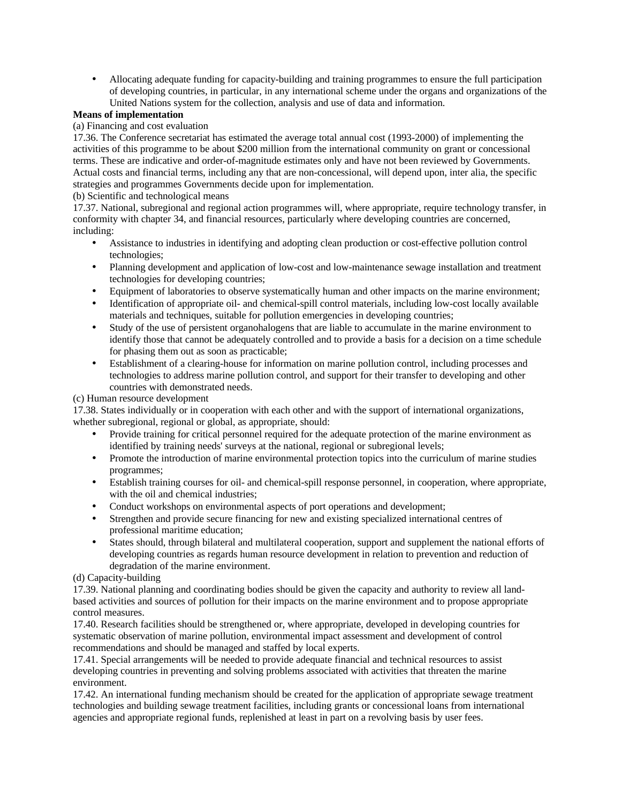• Allocating adequate funding for capacity-building and training programmes to ensure the full participation of developing countries, in particular, in any international scheme under the organs and organizations of the United Nations system for the collection, analysis and use of data and information.

# **Means of implementation**

# (a) Financing and cost evaluation

17.36. The Conference secretariat has estimated the average total annual cost (1993-2000) of implementing the activities of this programme to be about \$200 million from the international community on grant or concessional terms. These are indicative and order-of-magnitude estimates only and have not been reviewed by Governments. Actual costs and financial terms, including any that are non-concessional, will depend upon, inter alia, the specific strategies and programmes Governments decide upon for implementation.

(b) Scientific and technological means

17.37. National, subregional and regional action programmes will, where appropriate, require technology transfer, in conformity with chapter 34, and financial resources, particularly where developing countries are concerned, including:

- Assistance to industries in identifying and adopting clean production or cost-effective pollution control technologies;
- Planning development and application of low-cost and low-maintenance sewage installation and treatment technologies for developing countries;
- Equipment of laboratories to observe systematically human and other impacts on the marine environment;
- Identification of appropriate oil- and chemical-spill control materials, including low-cost locally available materials and techniques, suitable for pollution emergencies in developing countries;
- Study of the use of persistent organohalogens that are liable to accumulate in the marine environment to identify those that cannot be adequately controlled and to provide a basis for a decision on a time schedule for phasing them out as soon as practicable;
- Establishment of a clearing-house for information on marine pollution control, including processes and technologies to address marine pollution control, and support for their transfer to developing and other countries with demonstrated needs.

# (c) Human resource development

17.38. States individually or in cooperation with each other and with the support of international organizations, whether subregional, regional or global, as appropriate, should:

- Provide training for critical personnel required for the adequate protection of the marine environment as identified by training needs' surveys at the national, regional or subregional levels;
- Promote the introduction of marine environmental protection topics into the curriculum of marine studies programmes;
- Establish training courses for oil- and chemical-spill response personnel, in cooperation, where appropriate, with the oil and chemical industries;
- Conduct workshops on environmental aspects of port operations and development;
- Strengthen and provide secure financing for new and existing specialized international centres of professional maritime education;
- States should, through bilateral and multilateral cooperation, support and supplement the national efforts of developing countries as regards human resource development in relation to prevention and reduction of degradation of the marine environment.

(d) Capacity-building

17.39. National planning and coordinating bodies should be given the capacity and authority to review all landbased activities and sources of pollution for their impacts on the marine environment and to propose appropriate control measures.

17.40. Research facilities should be strengthened or, where appropriate, developed in developing countries for systematic observation of marine pollution, environmental impact assessment and development of control recommendations and should be managed and staffed by local experts.

17.41. Special arrangements will be needed to provide adequate financial and technical resources to assist developing countries in preventing and solving problems associated with activities that threaten the marine environment.

17.42. An international funding mechanism should be created for the application of appropriate sewage treatment technologies and building sewage treatment facilities, including grants or concessional loans from international agencies and appropriate regional funds, replenished at least in part on a revolving basis by user fees.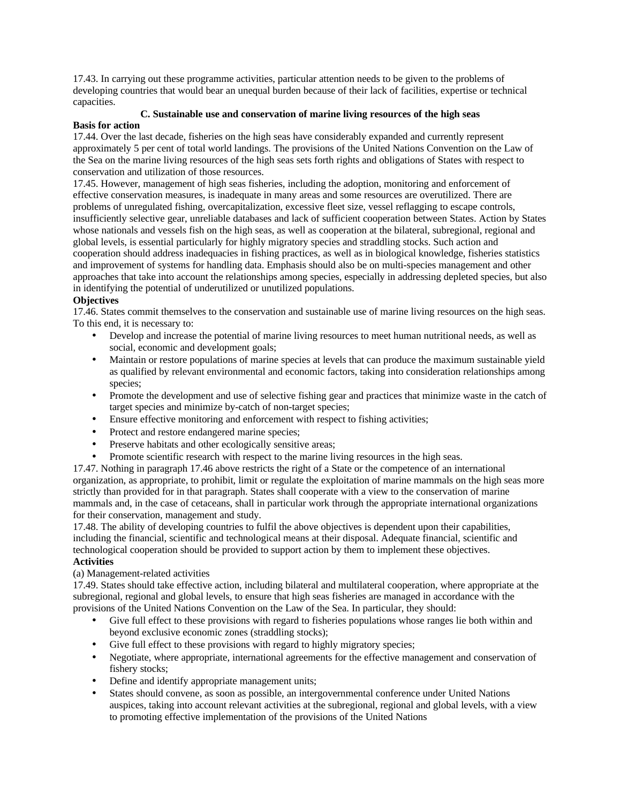17.43. In carrying out these programme activities, particular attention needs to be given to the problems of developing countries that would bear an unequal burden because of their lack of facilities, expertise or technical capacities.

# **C. Sustainable use and conservation of marine living resources of the high seas**

# **Basis for action**

17.44. Over the last decade, fisheries on the high seas have considerably expanded and currently represent approximately 5 per cent of total world landings. The provisions of the United Nations Convention on the Law of the Sea on the marine living resources of the high seas sets forth rights and obligations of States with respect to conservation and utilization of those resources.

17.45. However, management of high seas fisheries, including the adoption, monitoring and enforcement of effective conservation measures, is inadequate in many areas and some resources are overutilized. There are problems of unregulated fishing, overcapitalization, excessive fleet size, vessel reflagging to escape controls, insufficiently selective gear, unreliable databases and lack of sufficient cooperation between States. Action by States whose nationals and vessels fish on the high seas, as well as cooperation at the bilateral, subregional, regional and global levels, is essential particularly for highly migratory species and straddling stocks. Such action and cooperation should address inadequacies in fishing practices, as well as in biological knowledge, fisheries statistics and improvement of systems for handling data. Emphasis should also be on multi-species management and other approaches that take into account the relationships among species, especially in addressing depleted species, but also in identifying the potential of underutilized or unutilized populations.

# **Objectives**

17.46. States commit themselves to the conservation and sustainable use of marine living resources on the high seas. To this end, it is necessary to:

- Develop and increase the potential of marine living resources to meet human nutritional needs, as well as social, economic and development goals;
- Maintain or restore populations of marine species at levels that can produce the maximum sustainable yield as qualified by relevant environmental and economic factors, taking into consideration relationships among species;
- Promote the development and use of selective fishing gear and practices that minimize waste in the catch of target species and minimize by-catch of non-target species;
- Ensure effective monitoring and enforcement with respect to fishing activities;
- Protect and restore endangered marine species;
- Preserve habitats and other ecologically sensitive areas;
- Promote scientific research with respect to the marine living resources in the high seas.

17.47. Nothing in paragraph 17.46 above restricts the right of a State or the competence of an international organization, as appropriate, to prohibit, limit or regulate the exploitation of marine mammals on the high seas more strictly than provided for in that paragraph. States shall cooperate with a view to the conservation of marine mammals and, in the case of cetaceans, shall in particular work through the appropriate international organizations for their conservation, management and study.

17.48. The ability of developing countries to fulfil the above objectives is dependent upon their capabilities, including the financial, scientific and technological means at their disposal. Adequate financial, scientific and technological cooperation should be provided to support action by them to implement these objectives. **Activities**

# (a) Management-related activities

17.49. States should take effective action, including bilateral and multilateral cooperation, where appropriate at the subregional, regional and global levels, to ensure that high seas fisheries are managed in accordance with the provisions of the United Nations Convention on the Law of the Sea. In particular, they should:

- Give full effect to these provisions with regard to fisheries populations whose ranges lie both within and beyond exclusive economic zones (straddling stocks);
- Give full effect to these provisions with regard to highly migratory species;
- Negotiate, where appropriate, international agreements for the effective management and conservation of fishery stocks;
- Define and identify appropriate management units;
- States should convene, as soon as possible, an intergovernmental conference under United Nations auspices, taking into account relevant activities at the subregional, regional and global levels, with a view to promoting effective implementation of the provisions of the United Nations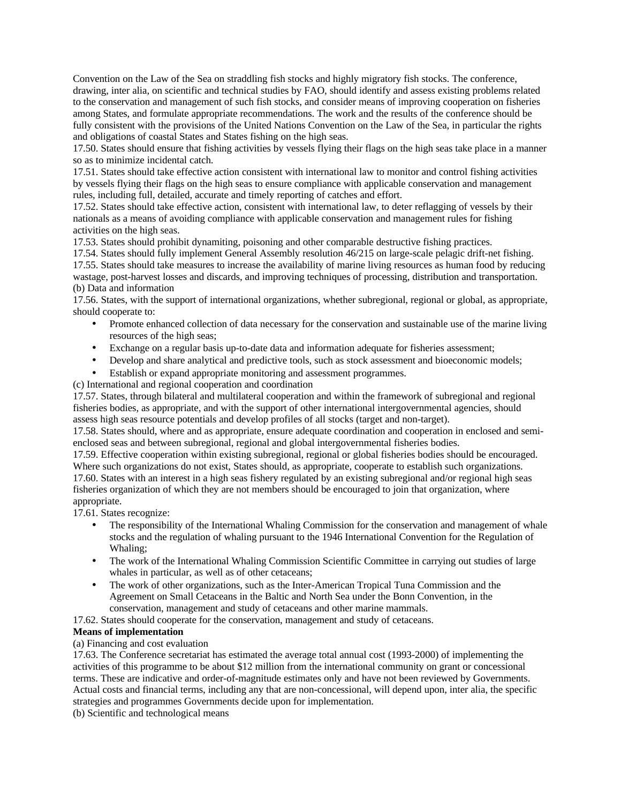Convention on the Law of the Sea on straddling fish stocks and highly migratory fish stocks. The conference, drawing, inter alia, on scientific and technical studies by FAO, should identify and assess existing problems related to the conservation and management of such fish stocks, and consider means of improving cooperation on fisheries among States, and formulate appropriate recommendations. The work and the results of the conference should be fully consistent with the provisions of the United Nations Convention on the Law of the Sea, in particular the rights and obligations of coastal States and States fishing on the high seas.

17.50. States should ensure that fishing activities by vessels flying their flags on the high seas take place in a manner so as to minimize incidental catch.

17.51. States should take effective action consistent with international law to monitor and control fishing activities by vessels flying their flags on the high seas to ensure compliance with applicable conservation and management rules, including full, detailed, accurate and timely reporting of catches and effort.

17.52. States should take effective action, consistent with international law, to deter reflagging of vessels by their nationals as a means of avoiding compliance with applicable conservation and management rules for fishing activities on the high seas.

17.53. States should prohibit dynamiting, poisoning and other comparable destructive fishing practices.

17.54. States should fully implement General Assembly resolution 46/215 on large-scale pelagic drift-net fishing. 17.55. States should take measures to increase the availability of marine living resources as human food by reducing wastage, post-harvest losses and discards, and improving techniques of processing, distribution and transportation. (b) Data and information

17.56. States, with the support of international organizations, whether subregional, regional or global, as appropriate, should cooperate to:

- Promote enhanced collection of data necessary for the conservation and sustainable use of the marine living resources of the high seas;
- Exchange on a regular basis up-to-date data and information adequate for fisheries assessment;
- Develop and share analytical and predictive tools, such as stock assessment and bioeconomic models;
- Establish or expand appropriate monitoring and assessment programmes.

(c) International and regional cooperation and coordination

17.57. States, through bilateral and multilateral cooperation and within the framework of subregional and regional fisheries bodies, as appropriate, and with the support of other international intergovernmental agencies, should assess high seas resource potentials and develop profiles of all stocks (target and non-target).

17.58. States should, where and as appropriate, ensure adequate coordination and cooperation in enclosed and semienclosed seas and between subregional, regional and global intergovernmental fisheries bodies.

17.59. Effective cooperation within existing subregional, regional or global fisheries bodies should be encouraged. Where such organizations do not exist, States should, as appropriate, cooperate to establish such organizations. 17.60. States with an interest in a high seas fishery regulated by an existing subregional and/or regional high seas fisheries organization of which they are not members should be encouraged to join that organization, where appropriate.

17.61. States recognize:

- The responsibility of the International Whaling Commission for the conservation and management of whale stocks and the regulation of whaling pursuant to the 1946 International Convention for the Regulation of Whaling;
- The work of the International Whaling Commission Scientific Committee in carrying out studies of large whales in particular, as well as of other cetaceans;
- The work of other organizations, such as the Inter-American Tropical Tuna Commission and the Agreement on Small Cetaceans in the Baltic and North Sea under the Bonn Convention, in the conservation, management and study of cetaceans and other marine mammals.

17.62. States should cooperate for the conservation, management and study of cetaceans.

# **Means of implementation**

# (a) Financing and cost evaluation

17.63. The Conference secretariat has estimated the average total annual cost (1993-2000) of implementing the activities of this programme to be about \$12 million from the international community on grant or concessional terms. These are indicative and order-of-magnitude estimates only and have not been reviewed by Governments. Actual costs and financial terms, including any that are non-concessional, will depend upon, inter alia, the specific strategies and programmes Governments decide upon for implementation.

(b) Scientific and technological means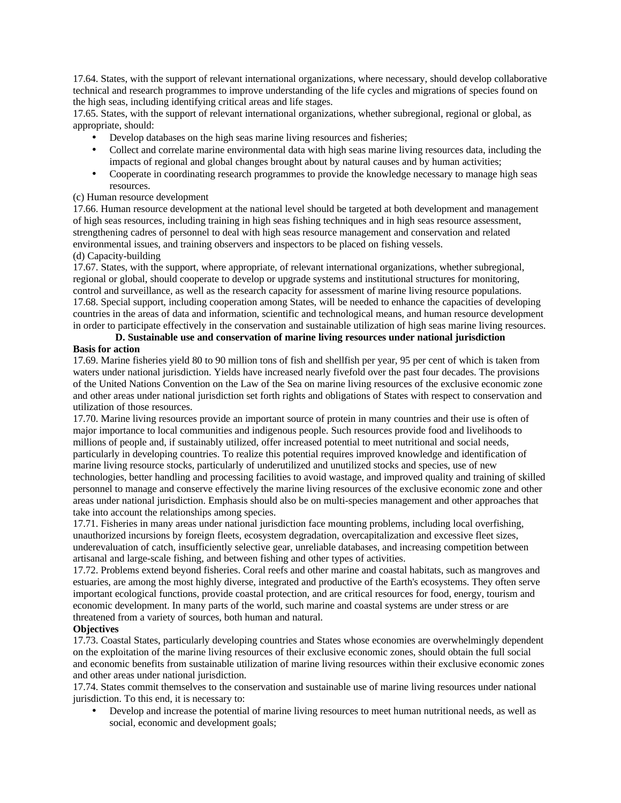17.64. States, with the support of relevant international organizations, where necessary, should develop collaborative technical and research programmes to improve understanding of the life cycles and migrations of species found on the high seas, including identifying critical areas and life stages.

17.65. States, with the support of relevant international organizations, whether subregional, regional or global, as appropriate, should:

- Develop databases on the high seas marine living resources and fisheries;
- Collect and correlate marine environmental data with high seas marine living resources data, including the impacts of regional and global changes brought about by natural causes and by human activities;
- Cooperate in coordinating research programmes to provide the knowledge necessary to manage high seas resources.

# (c) Human resource development

17.66. Human resource development at the national level should be targeted at both development and management of high seas resources, including training in high seas fishing techniques and in high seas resource assessment, strengthening cadres of personnel to deal with high seas resource management and conservation and related environmental issues, and training observers and inspectors to be placed on fishing vessels.

#### (d) Capacity-building

17.67. States, with the support, where appropriate, of relevant international organizations, whether subregional, regional or global, should cooperate to develop or upgrade systems and institutional structures for monitoring, control and surveillance, as well as the research capacity for assessment of marine living resource populations. 17.68. Special support, including cooperation among States, will be needed to enhance the capacities of developing countries in the areas of data and information, scientific and technological means, and human resource development in order to participate effectively in the conservation and sustainable utilization of high seas marine living resources.

# **D. Sustainable use and conservation of marine living resources under national jurisdiction**

#### **Basis for action**

17.69. Marine fisheries yield 80 to 90 million tons of fish and shellfish per year, 95 per cent of which is taken from waters under national jurisdiction. Yields have increased nearly fivefold over the past four decades. The provisions of the United Nations Convention on the Law of the Sea on marine living resources of the exclusive economic zone and other areas under national jurisdiction set forth rights and obligations of States with respect to conservation and utilization of those resources.

17.70. Marine living resources provide an important source of protein in many countries and their use is often of major importance to local communities and indigenous people. Such resources provide food and livelihoods to millions of people and, if sustainably utilized, offer increased potential to meet nutritional and social needs, particularly in developing countries. To realize this potential requires improved knowledge and identification of marine living resource stocks, particularly of underutilized and unutilized stocks and species, use of new technologies, better handling and processing facilities to avoid wastage, and improved quality and training of skilled personnel to manage and conserve effectively the marine living resources of the exclusive economic zone and other areas under national jurisdiction. Emphasis should also be on multi-species management and other approaches that take into account the relationships among species.

17.71. Fisheries in many areas under national jurisdiction face mounting problems, including local overfishing, unauthorized incursions by foreign fleets, ecosystem degradation, overcapitalization and excessive fleet sizes, underevaluation of catch, insufficiently selective gear, unreliable databases, and increasing competition between artisanal and large-scale fishing, and between fishing and other types of activities.

17.72. Problems extend beyond fisheries. Coral reefs and other marine and coastal habitats, such as mangroves and estuaries, are among the most highly diverse, integrated and productive of the Earth's ecosystems. They often serve important ecological functions, provide coastal protection, and are critical resources for food, energy, tourism and economic development. In many parts of the world, such marine and coastal systems are under stress or are threatened from a variety of sources, both human and natural.

#### **Objectives**

17.73. Coastal States, particularly developing countries and States whose economies are overwhelmingly dependent on the exploitation of the marine living resources of their exclusive economic zones, should obtain the full social and economic benefits from sustainable utilization of marine living resources within their exclusive economic zones and other areas under national jurisdiction.

17.74. States commit themselves to the conservation and sustainable use of marine living resources under national jurisdiction. To this end, it is necessary to:

• Develop and increase the potential of marine living resources to meet human nutritional needs, as well as social, economic and development goals;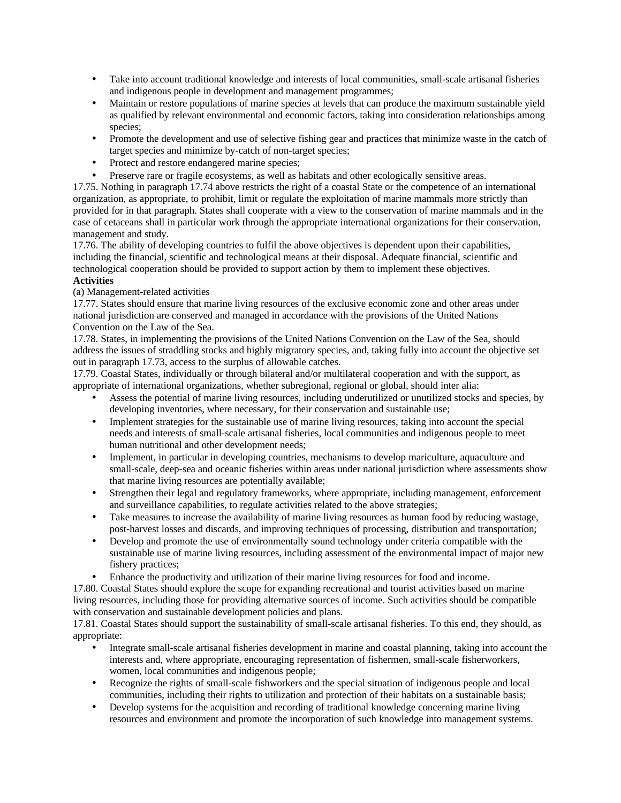- Take into account traditional knowledge and interests of local communities, small-scale artisanal fisheries and indigenous people in development and management programmes;
- Maintain or restore populations of marine species at levels that can produce the maximum sustainable yield as qualified by relevant environmental and economic factors, taking into consideration relationships among species;
- Promote the development and use of selective fishing gear and practices that minimize waste in the catch of target species and minimize by-catch of non-target species;
- Protect and restore endangered marine species;
- Preserve rare or fragile ecosystems, as well as habitats and other ecologically sensitive areas.

17.75. Nothing in paragraph 17.74 above restricts the right of a coastal State or the competence of an international organization, as appropriate, to prohibit, limit or regulate the exploitation of marine mammals more strictly than provided for in that paragraph. States shall cooperate with a view to the conservation of marine mammals and in the case of cetaceans shall in particular work through the appropriate international organizations for their conservation, management and study.

17.76. The ability of developing countries to fulfil the above objectives is dependent upon their capabilities, including the financial, scientific and technological means at their disposal. Adequate financial, scientific and technological cooperation should be provided to support action by them to implement these objectives. **Activities**

(a) Management-related activities

17.77. States should ensure that marine living resources of the exclusive economic zone and other areas under national jurisdiction are conserved and managed in accordance with the provisions of the United Nations Convention on the Law of the Sea.

17.78. States, in implementing the provisions of the United Nations Convention on the Law of the Sea, should address the issues of straddling stocks and highly migratory species, and, taking fully into account the objective set out in paragraph 17.73, access to the surplus of allowable catches.

17.79. Coastal States, individually or through bilateral and/or multilateral cooperation and with the support, as appropriate of international organizations, whether subregional, regional or global, should inter alia:

- Assess the potential of marine living resources, including underutilized or unutilized stocks and species, by developing inventories, where necessary, for their conservation and sustainable use;
- Implement strategies for the sustainable use of marine living resources, taking into account the special needs and interests of small-scale artisanal fisheries, local communities and indigenous people to meet human nutritional and other development needs;
- Implement, in particular in developing countries, mechanisms to develop mariculture, aquaculture and small-scale, deep-sea and oceanic fisheries within areas under national jurisdiction where assessments show that marine living resources are potentially available;
- Strengthen their legal and regulatory frameworks, where appropriate, including management, enforcement and surveillance capabilities, to regulate activities related to the above strategies;
- Take measures to increase the availability of marine living resources as human food by reducing wastage, post-harvest losses and discards, and improving techniques of processing, distribution and transportation;
- Develop and promote the use of environmentally sound technology under criteria compatible with the sustainable use of marine living resources, including assessment of the environmental impact of major new fishery practices;
- Enhance the productivity and utilization of their marine living resources for food and income.

17.80. Coastal States should explore the scope for expanding recreational and tourist activities based on marine living resources, including those for providing alternative sources of income. Such activities should be compatible with conservation and sustainable development policies and plans.

17.81. Coastal States should support the sustainability of small-scale artisanal fisheries. To this end, they should, as appropriate:

- Integrate small-scale artisanal fisheries development in marine and coastal planning, taking into account the interests and, where appropriate, encouraging representation of fishermen, small-scale fisherworkers, women, local communities and indigenous people;
- Recognize the rights of small-scale fishworkers and the special situation of indigenous people and local communities, including their rights to utilization and protection of their habitats on a sustainable basis;
- Develop systems for the acquisition and recording of traditional knowledge concerning marine living resources and environment and promote the incorporation of such knowledge into management systems.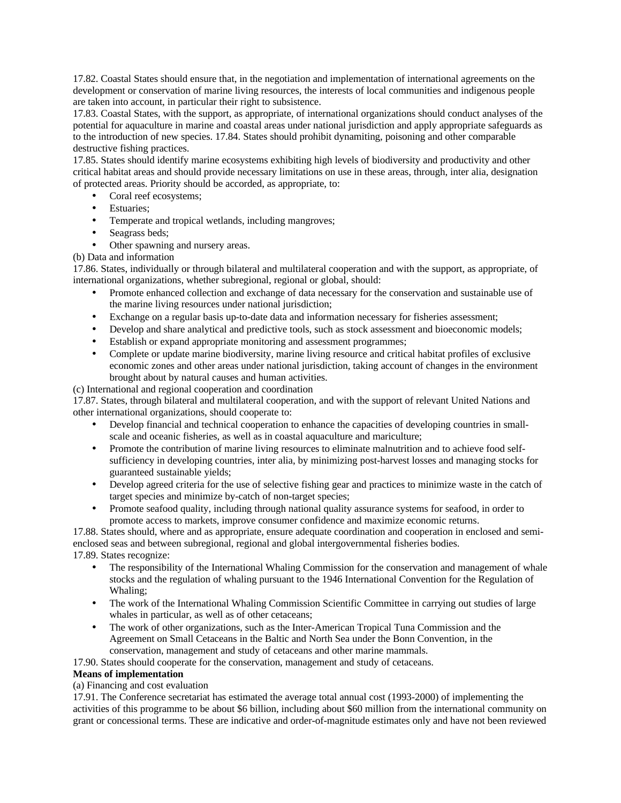17.82. Coastal States should ensure that, in the negotiation and implementation of international agreements on the development or conservation of marine living resources, the interests of local communities and indigenous people are taken into account, in particular their right to subsistence.

17.83. Coastal States, with the support, as appropriate, of international organizations should conduct analyses of the potential for aquaculture in marine and coastal areas under national jurisdiction and apply appropriate safeguards as to the introduction of new species. 17.84. States should prohibit dynamiting, poisoning and other comparable destructive fishing practices.

17.85. States should identify marine ecosystems exhibiting high levels of biodiversity and productivity and other critical habitat areas and should provide necessary limitations on use in these areas, through, inter alia, designation of protected areas. Priority should be accorded, as appropriate, to:

- Coral reef ecosystems;
- Estuaries;
- Temperate and tropical wetlands, including mangroves;
- Seagrass beds;
- Other spawning and nursery areas.

# (b) Data and information

17.86. States, individually or through bilateral and multilateral cooperation and with the support, as appropriate, of international organizations, whether subregional, regional or global, should:

- Promote enhanced collection and exchange of data necessary for the conservation and sustainable use of the marine living resources under national jurisdiction;
- Exchange on a regular basis up-to-date data and information necessary for fisheries assessment;
- Develop and share analytical and predictive tools, such as stock assessment and bioeconomic models;
- Establish or expand appropriate monitoring and assessment programmes;
- Complete or update marine biodiversity, marine living resource and critical habitat profiles of exclusive economic zones and other areas under national jurisdiction, taking account of changes in the environment brought about by natural causes and human activities.

(c) International and regional cooperation and coordination

17.87. States, through bilateral and multilateral cooperation, and with the support of relevant United Nations and other international organizations, should cooperate to:

- Develop financial and technical cooperation to enhance the capacities of developing countries in smallscale and oceanic fisheries, as well as in coastal aquaculture and mariculture;
- Promote the contribution of marine living resources to eliminate malnutrition and to achieve food selfsufficiency in developing countries, inter alia, by minimizing post-harvest losses and managing stocks for guaranteed sustainable yields;
- Develop agreed criteria for the use of selective fishing gear and practices to minimize waste in the catch of target species and minimize by-catch of non-target species;
- Promote seafood quality, including through national quality assurance systems for seafood, in order to promote access to markets, improve consumer confidence and maximize economic returns.

17.88. States should, where and as appropriate, ensure adequate coordination and cooperation in enclosed and semienclosed seas and between subregional, regional and global intergovernmental fisheries bodies. 17.89. States recognize:

- The responsibility of the International Whaling Commission for the conservation and management of whale stocks and the regulation of whaling pursuant to the 1946 International Convention for the Regulation of Whaling;
- The work of the International Whaling Commission Scientific Committee in carrying out studies of large whales in particular, as well as of other cetaceans;
- The work of other organizations, such as the Inter-American Tropical Tuna Commission and the Agreement on Small Cetaceans in the Baltic and North Sea under the Bonn Convention, in the conservation, management and study of cetaceans and other marine mammals.

17.90. States should cooperate for the conservation, management and study of cetaceans.

# **Means of implementation**

# (a) Financing and cost evaluation

17.91. The Conference secretariat has estimated the average total annual cost (1993-2000) of implementing the activities of this programme to be about \$6 billion, including about \$60 million from the international community on grant or concessional terms. These are indicative and order-of-magnitude estimates only and have not been reviewed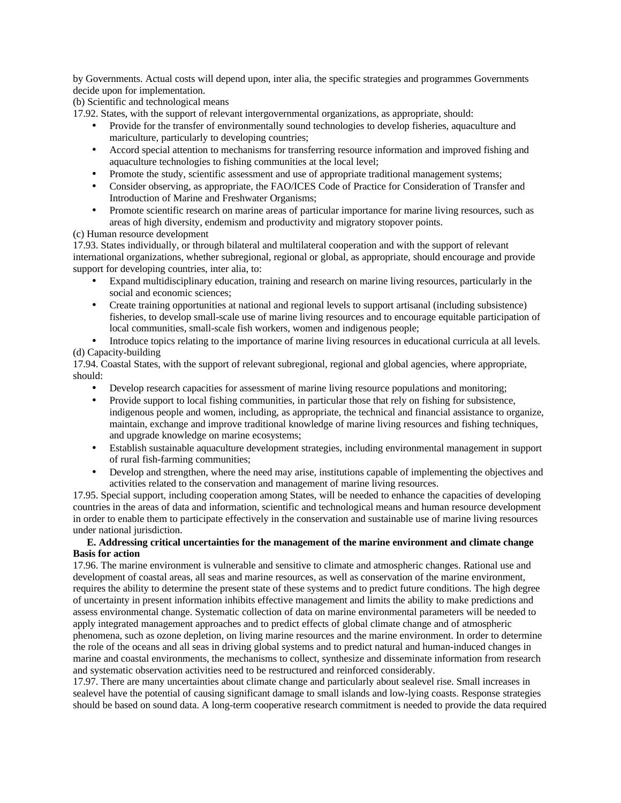by Governments. Actual costs will depend upon, inter alia, the specific strategies and programmes Governments decide upon for implementation.

(b) Scientific and technological means

17.92. States, with the support of relevant intergovernmental organizations, as appropriate, should:

- Provide for the transfer of environmentally sound technologies to develop fisheries, aquaculture and mariculture, particularly to developing countries;
- Accord special attention to mechanisms for transferring resource information and improved fishing and aquaculture technologies to fishing communities at the local level;
- Promote the study, scientific assessment and use of appropriate traditional management systems;
- Consider observing, as appropriate, the FAO/ICES Code of Practice for Consideration of Transfer and Introduction of Marine and Freshwater Organisms;
- Promote scientific research on marine areas of particular importance for marine living resources, such as areas of high diversity, endemism and productivity and migratory stopover points.

# (c) Human resource development

17.93. States individually, or through bilateral and multilateral cooperation and with the support of relevant international organizations, whether subregional, regional or global, as appropriate, should encourage and provide support for developing countries, inter alia, to:

- Expand multidisciplinary education, training and research on marine living resources, particularly in the social and economic sciences;
- Create training opportunities at national and regional levels to support artisanal (including subsistence) fisheries, to develop small-scale use of marine living resources and to encourage equitable participation of local communities, small-scale fish workers, women and indigenous people;

• Introduce topics relating to the importance of marine living resources in educational curricula at all levels. (d) Capacity-building

17.94. Coastal States, with the support of relevant subregional, regional and global agencies, where appropriate, should:

- Develop research capacities for assessment of marine living resource populations and monitoring;
- Provide support to local fishing communities, in particular those that rely on fishing for subsistence, indigenous people and women, including, as appropriate, the technical and financial assistance to organize, maintain, exchange and improve traditional knowledge of marine living resources and fishing techniques, and upgrade knowledge on marine ecosystems;
- Establish sustainable aquaculture development strategies, including environmental management in support of rural fish-farming communities;
- Develop and strengthen, where the need may arise, institutions capable of implementing the objectives and activities related to the conservation and management of marine living resources.

17.95. Special support, including cooperation among States, will be needed to enhance the capacities of developing countries in the areas of data and information, scientific and technological means and human resource development in order to enable them to participate effectively in the conservation and sustainable use of marine living resources under national jurisdiction.

#### **E. Addressing critical uncertainties for the management of the marine environment and climate change Basis for action**

17.96. The marine environment is vulnerable and sensitive to climate and atmospheric changes. Rational use and development of coastal areas, all seas and marine resources, as well as conservation of the marine environment, requires the ability to determine the present state of these systems and to predict future conditions. The high degree of uncertainty in present information inhibits effective management and limits the ability to make predictions and assess environmental change. Systematic collection of data on marine environmental parameters will be needed to apply integrated management approaches and to predict effects of global climate change and of atmospheric phenomena, such as ozone depletion, on living marine resources and the marine environment. In order to determine the role of the oceans and all seas in driving global systems and to predict natural and human-induced changes in marine and coastal environments, the mechanisms to collect, synthesize and disseminate information from research and systematic observation activities need to be restructured and reinforced considerably.

17.97. There are many uncertainties about climate change and particularly about sealevel rise. Small increases in sealevel have the potential of causing significant damage to small islands and low-lying coasts. Response strategies should be based on sound data. A long-term cooperative research commitment is needed to provide the data required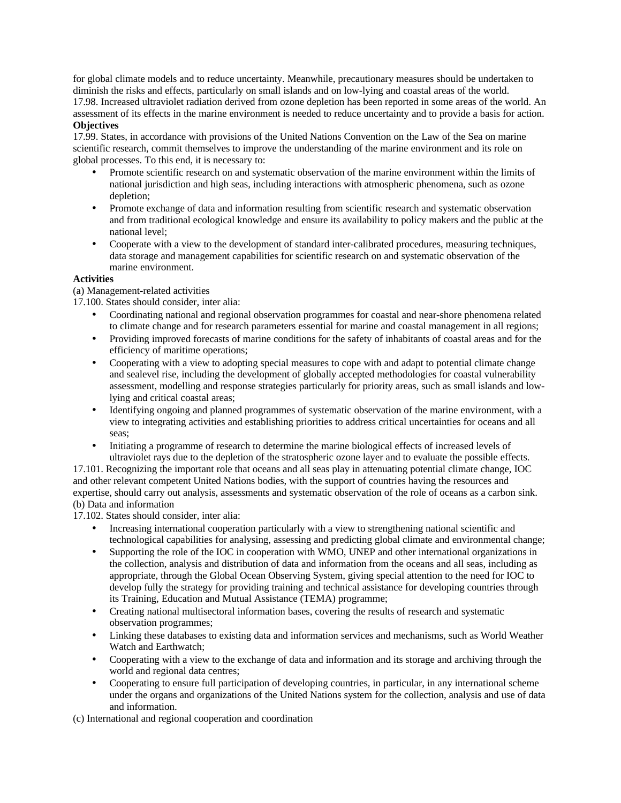for global climate models and to reduce uncertainty. Meanwhile, precautionary measures should be undertaken to diminish the risks and effects, particularly on small islands and on low-lying and coastal areas of the world. 17.98. Increased ultraviolet radiation derived from ozone depletion has been reported in some areas of the world. An assessment of its effects in the marine environment is needed to reduce uncertainty and to provide a basis for action.

#### **Objectives**

17.99. States, in accordance with provisions of the United Nations Convention on the Law of the Sea on marine scientific research, commit themselves to improve the understanding of the marine environment and its role on global processes. To this end, it is necessary to:

- Promote scientific research on and systematic observation of the marine environment within the limits of national jurisdiction and high seas, including interactions with atmospheric phenomena, such as ozone depletion;
- Promote exchange of data and information resulting from scientific research and systematic observation and from traditional ecological knowledge and ensure its availability to policy makers and the public at the national level;
- Cooperate with a view to the development of standard inter-calibrated procedures, measuring techniques, data storage and management capabilities for scientific research on and systematic observation of the marine environment.

#### **Activities**

(a) Management-related activities

17.100. States should consider, inter alia:

- Coordinating national and regional observation programmes for coastal and near-shore phenomena related to climate change and for research parameters essential for marine and coastal management in all regions;
- Providing improved forecasts of marine conditions for the safety of inhabitants of coastal areas and for the efficiency of maritime operations;
- Cooperating with a view to adopting special measures to cope with and adapt to potential climate change and sealevel rise, including the development of globally accepted methodologies for coastal vulnerability assessment, modelling and response strategies particularly for priority areas, such as small islands and lowlying and critical coastal areas;
- Identifying ongoing and planned programmes of systematic observation of the marine environment, with a view to integrating activities and establishing priorities to address critical uncertainties for oceans and all seas;
- Initiating a programme of research to determine the marine biological effects of increased levels of ultraviolet rays due to the depletion of the stratospheric ozone layer and to evaluate the possible effects.

17.101. Recognizing the important role that oceans and all seas play in attenuating potential climate change, IOC and other relevant competent United Nations bodies, with the support of countries having the resources and expertise, should carry out analysis, assessments and systematic observation of the role of oceans as a carbon sink. (b) Data and information

17.102. States should consider, inter alia:

- Increasing international cooperation particularly with a view to strengthening national scientific and technological capabilities for analysing, assessing and predicting global climate and environmental change;
- Supporting the role of the IOC in cooperation with WMO, UNEP and other international organizations in the collection, analysis and distribution of data and information from the oceans and all seas, including as appropriate, through the Global Ocean Observing System, giving special attention to the need for IOC to develop fully the strategy for providing training and technical assistance for developing countries through its Training, Education and Mutual Assistance (TEMA) programme;
- Creating national multisectoral information bases, covering the results of research and systematic observation programmes;
- Linking these databases to existing data and information services and mechanisms, such as World Weather Watch and Earthwatch;
- Cooperating with a view to the exchange of data and information and its storage and archiving through the world and regional data centres;
- Cooperating to ensure full participation of developing countries, in particular, in any international scheme under the organs and organizations of the United Nations system for the collection, analysis and use of data and information.

(c) International and regional cooperation and coordination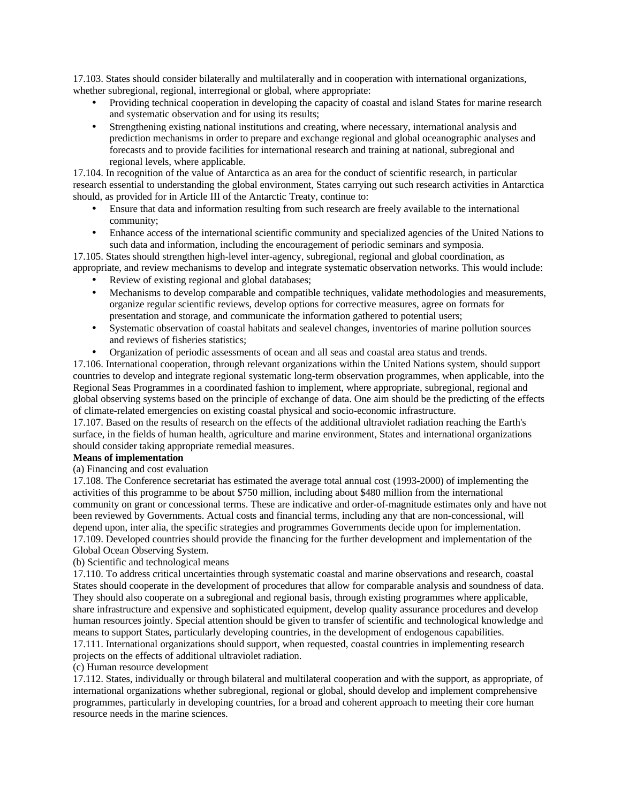17.103. States should consider bilaterally and multilaterally and in cooperation with international organizations, whether subregional, regional, interregional or global, where appropriate:

- Providing technical cooperation in developing the capacity of coastal and island States for marine research and systematic observation and for using its results;
- Strengthening existing national institutions and creating, where necessary, international analysis and prediction mechanisms in order to prepare and exchange regional and global oceanographic analyses and forecasts and to provide facilities for international research and training at national, subregional and regional levels, where applicable.

17.104. In recognition of the value of Antarctica as an area for the conduct of scientific research, in particular research essential to understanding the global environment, States carrying out such research activities in Antarctica should, as provided for in Article III of the Antarctic Treaty, continue to:

- Ensure that data and information resulting from such research are freely available to the international community;
- Enhance access of the international scientific community and specialized agencies of the United Nations to such data and information, including the encouragement of periodic seminars and symposia.

17.105. States should strengthen high-level inter-agency, subregional, regional and global coordination, as appropriate, and review mechanisms to develop and integrate systematic observation networks. This would include:

- Review of existing regional and global databases;
- Mechanisms to develop comparable and compatible techniques, validate methodologies and measurements, organize regular scientific reviews, develop options for corrective measures, agree on formats for presentation and storage, and communicate the information gathered to potential users;
- Systematic observation of coastal habitats and sealevel changes, inventories of marine pollution sources and reviews of fisheries statistics;
- Organization of periodic assessments of ocean and all seas and coastal area status and trends.

17.106. International cooperation, through relevant organizations within the United Nations system, should support countries to develop and integrate regional systematic long-term observation programmes, when applicable, into the Regional Seas Programmes in a coordinated fashion to implement, where appropriate, subregional, regional and global observing systems based on the principle of exchange of data. One aim should be the predicting of the effects of climate-related emergencies on existing coastal physical and socio-economic infrastructure.

17.107. Based on the results of research on the effects of the additional ultraviolet radiation reaching the Earth's surface, in the fields of human health, agriculture and marine environment, States and international organizations should consider taking appropriate remedial measures.

# **Means of implementation**

# (a) Financing and cost evaluation

17.108. The Conference secretariat has estimated the average total annual cost (1993-2000) of implementing the activities of this programme to be about \$750 million, including about \$480 million from the international community on grant or concessional terms. These are indicative and order-of-magnitude estimates only and have not been reviewed by Governments. Actual costs and financial terms, including any that are non-concessional, will depend upon, inter alia, the specific strategies and programmes Governments decide upon for implementation. 17.109. Developed countries should provide the financing for the further development and implementation of the Global Ocean Observing System.

(b) Scientific and technological means

17.110. To address critical uncertainties through systematic coastal and marine observations and research, coastal States should cooperate in the development of procedures that allow for comparable analysis and soundness of data. They should also cooperate on a subregional and regional basis, through existing programmes where applicable, share infrastructure and expensive and sophisticated equipment, develop quality assurance procedures and develop human resources jointly. Special attention should be given to transfer of scientific and technological knowledge and means to support States, particularly developing countries, in the development of endogenous capabilities. 17.111. International organizations should support, when requested, coastal countries in implementing research projects on the effects of additional ultraviolet radiation.

(c) Human resource development

17.112. States, individually or through bilateral and multilateral cooperation and with the support, as appropriate, of international organizations whether subregional, regional or global, should develop and implement comprehensive programmes, particularly in developing countries, for a broad and coherent approach to meeting their core human resource needs in the marine sciences.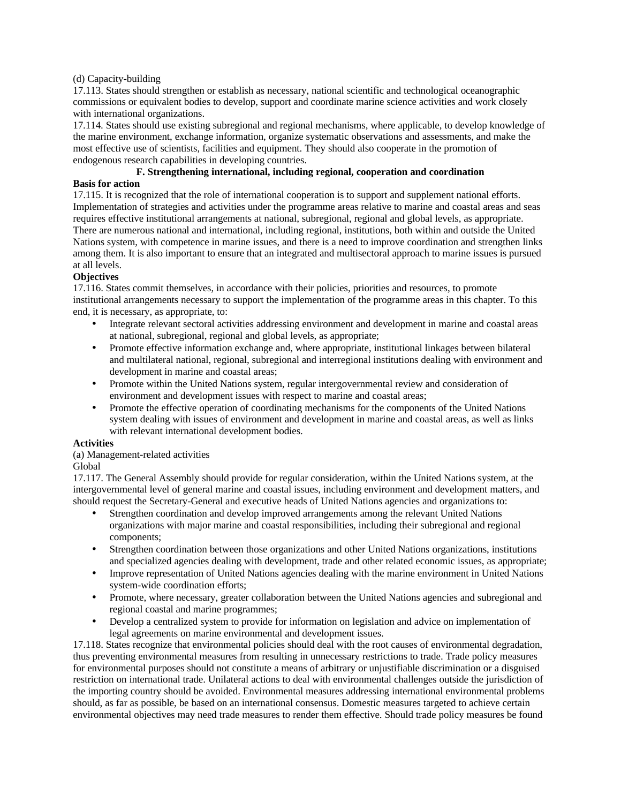#### (d) Capacity-building

17.113. States should strengthen or establish as necessary, national scientific and technological oceanographic commissions or equivalent bodies to develop, support and coordinate marine science activities and work closely with international organizations.

17.114. States should use existing subregional and regional mechanisms, where applicable, to develop knowledge of the marine environment, exchange information, organize systematic observations and assessments, and make the most effective use of scientists, facilities and equipment. They should also cooperate in the promotion of endogenous research capabilities in developing countries.

# **F. Strengthening international, including regional, cooperation and coordination**

**Basis for action**

17.115. It is recognized that the role of international cooperation is to support and supplement national efforts. Implementation of strategies and activities under the programme areas relative to marine and coastal areas and seas requires effective institutional arrangements at national, subregional, regional and global levels, as appropriate. There are numerous national and international, including regional, institutions, both within and outside the United Nations system, with competence in marine issues, and there is a need to improve coordination and strengthen links among them. It is also important to ensure that an integrated and multisectoral approach to marine issues is pursued at all levels.

# **Objectives**

17.116. States commit themselves, in accordance with their policies, priorities and resources, to promote institutional arrangements necessary to support the implementation of the programme areas in this chapter. To this end, it is necessary, as appropriate, to:

- Integrate relevant sectoral activities addressing environment and development in marine and coastal areas at national, subregional, regional and global levels, as appropriate;
- Promote effective information exchange and, where appropriate, institutional linkages between bilateral and multilateral national, regional, subregional and interregional institutions dealing with environment and development in marine and coastal areas;
- Promote within the United Nations system, regular intergovernmental review and consideration of environment and development issues with respect to marine and coastal areas;
- Promote the effective operation of coordinating mechanisms for the components of the United Nations system dealing with issues of environment and development in marine and coastal areas, as well as links with relevant international development bodies.

# **Activities**

# (a) Management-related activities

# Global

17.117. The General Assembly should provide for regular consideration, within the United Nations system, at the intergovernmental level of general marine and coastal issues, including environment and development matters, and should request the Secretary-General and executive heads of United Nations agencies and organizations to:

- Strengthen coordination and develop improved arrangements among the relevant United Nations organizations with major marine and coastal responsibilities, including their subregional and regional components;
- Strengthen coordination between those organizations and other United Nations organizations, institutions and specialized agencies dealing with development, trade and other related economic issues, as appropriate;
- Improve representation of United Nations agencies dealing with the marine environment in United Nations system-wide coordination efforts;
- Promote, where necessary, greater collaboration between the United Nations agencies and subregional and regional coastal and marine programmes;
- Develop a centralized system to provide for information on legislation and advice on implementation of legal agreements on marine environmental and development issues.

17.118. States recognize that environmental policies should deal with the root causes of environmental degradation, thus preventing environmental measures from resulting in unnecessary restrictions to trade. Trade policy measures for environmental purposes should not constitute a means of arbitrary or unjustifiable discrimination or a disguised restriction on international trade. Unilateral actions to deal with environmental challenges outside the jurisdiction of the importing country should be avoided. Environmental measures addressing international environmental problems should, as far as possible, be based on an international consensus. Domestic measures targeted to achieve certain environmental objectives may need trade measures to render them effective. Should trade policy measures be found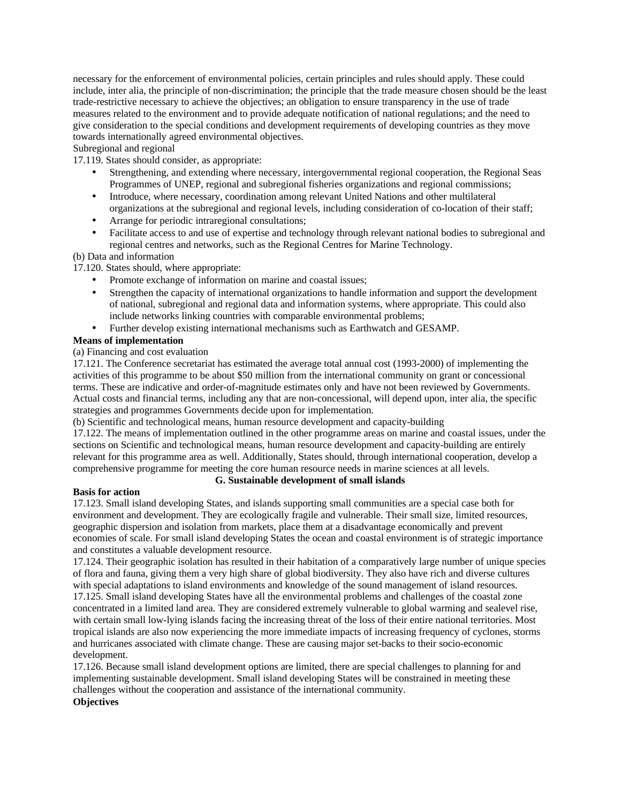necessary for the enforcement of environmental policies, certain principles and rules should apply. These could include, inter alia, the principle of non-discrimination; the principle that the trade measure chosen should be the least trade-restrictive necessary to achieve the objectives; an obligation to ensure transparency in the use of trade measures related to the environment and to provide adequate notification of national regulations; and the need to give consideration to the special conditions and development requirements of developing countries as they move towards internationally agreed environmental objectives.

# Subregional and regional

17.119. States should consider, as appropriate:

- Strengthening, and extending where necessary, intergovernmental regional cooperation, the Regional Seas Programmes of UNEP, regional and subregional fisheries organizations and regional commissions;
- Introduce, where necessary, coordination among relevant United Nations and other multilateral organizations at the subregional and regional levels, including consideration of co-location of their staff;
- Arrange for periodic intraregional consultations;
- Facilitate access to and use of expertise and technology through relevant national bodies to subregional and regional centres and networks, such as the Regional Centres for Marine Technology.

#### (b) Data and information

17.120. States should, where appropriate:

- Promote exchange of information on marine and coastal issues;
- Strengthen the capacity of international organizations to handle information and support the development of national, subregional and regional data and information systems, where appropriate. This could also include networks linking countries with comparable environmental problems;
- Further develop existing international mechanisms such as Earthwatch and GESAMP.

# **Means of implementation**

#### (a) Financing and cost evaluation

17.121. The Conference secretariat has estimated the average total annual cost (1993-2000) of implementing the activities of this programme to be about \$50 million from the international community on grant or concessional terms. These are indicative and order-of-magnitude estimates only and have not been reviewed by Governments. Actual costs and financial terms, including any that are non-concessional, will depend upon, inter alia, the specific strategies and programmes Governments decide upon for implementation.

(b) Scientific and technological means, human resource development and capacity-building

17.122. The means of implementation outlined in the other programme areas on marine and coastal issues, under the sections on Scientific and technological means, human resource development and capacity-building are entirely relevant for this programme area as well. Additionally, States should, through international cooperation, develop a comprehensive programme for meeting the core human resource needs in marine sciences at all levels.

#### **G. Sustainable development of small islands**

#### **Basis for action**

17.123. Small island developing States, and islands supporting small communities are a special case both for environment and development. They are ecologically fragile and vulnerable. Their small size, limited resources, geographic dispersion and isolation from markets, place them at a disadvantage economically and prevent economies of scale. For small island developing States the ocean and coastal environment is of strategic importance and constitutes a valuable development resource.

17.124. Their geographic isolation has resulted in their habitation of a comparatively large number of unique species of flora and fauna, giving them a very high share of global biodiversity. They also have rich and diverse cultures with special adaptations to island environments and knowledge of the sound management of island resources. 17.125. Small island developing States have all the environmental problems and challenges of the coastal zone concentrated in a limited land area. They are considered extremely vulnerable to global warming and sealevel rise, with certain small low-lying islands facing the increasing threat of the loss of their entire national territories. Most tropical islands are also now experiencing the more immediate impacts of increasing frequency of cyclones, storms and hurricanes associated with climate change. These are causing major set-backs to their socio-economic development.

17.126. Because small island development options are limited, there are special challenges to planning for and implementing sustainable development. Small island developing States will be constrained in meeting these challenges without the cooperation and assistance of the international community. **Objectives**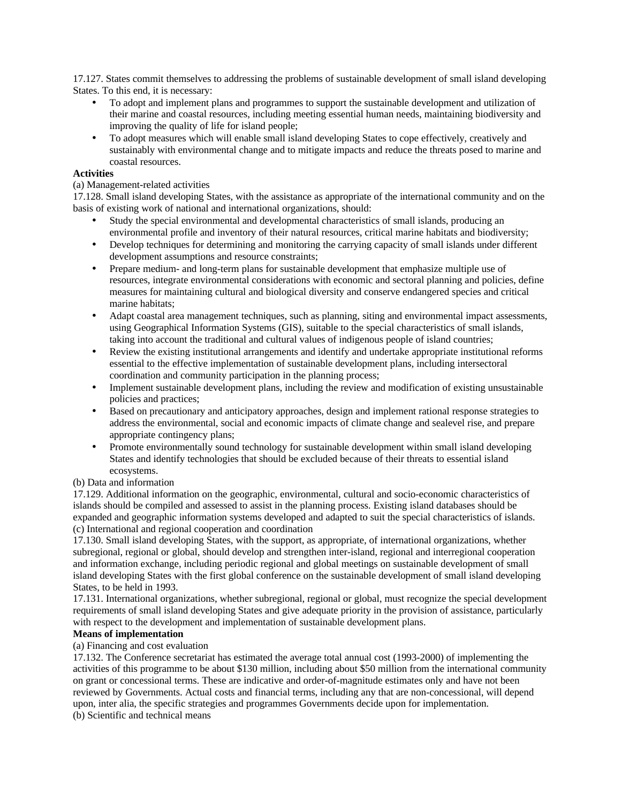17.127. States commit themselves to addressing the problems of sustainable development of small island developing States. To this end, it is necessary:

- To adopt and implement plans and programmes to support the sustainable development and utilization of their marine and coastal resources, including meeting essential human needs, maintaining biodiversity and improving the quality of life for island people;
- To adopt measures which will enable small island developing States to cope effectively, creatively and sustainably with environmental change and to mitigate impacts and reduce the threats posed to marine and coastal resources.

#### **Activities**

#### (a) Management-related activities

17.128. Small island developing States, with the assistance as appropriate of the international community and on the basis of existing work of national and international organizations, should:

- Study the special environmental and developmental characteristics of small islands, producing an environmental profile and inventory of their natural resources, critical marine habitats and biodiversity;
- Develop techniques for determining and monitoring the carrying capacity of small islands under different development assumptions and resource constraints;
- Prepare medium- and long-term plans for sustainable development that emphasize multiple use of resources, integrate environmental considerations with economic and sectoral planning and policies, define measures for maintaining cultural and biological diversity and conserve endangered species and critical marine habitats;
- Adapt coastal area management techniques, such as planning, siting and environmental impact assessments, using Geographical Information Systems (GIS), suitable to the special characteristics of small islands, taking into account the traditional and cultural values of indigenous people of island countries;
- Review the existing institutional arrangements and identify and undertake appropriate institutional reforms essential to the effective implementation of sustainable development plans, including intersectoral coordination and community participation in the planning process;
- Implement sustainable development plans, including the review and modification of existing unsustainable policies and practices;
- Based on precautionary and anticipatory approaches, design and implement rational response strategies to address the environmental, social and economic impacts of climate change and sealevel rise, and prepare appropriate contingency plans;
- Promote environmentally sound technology for sustainable development within small island developing States and identify technologies that should be excluded because of their threats to essential island ecosystems.

# (b) Data and information

17.129. Additional information on the geographic, environmental, cultural and socio-economic characteristics of islands should be compiled and assessed to assist in the planning process. Existing island databases should be expanded and geographic information systems developed and adapted to suit the special characteristics of islands. (c) International and regional cooperation and coordination

17.130. Small island developing States, with the support, as appropriate, of international organizations, whether subregional, regional or global, should develop and strengthen inter-island, regional and interregional cooperation and information exchange, including periodic regional and global meetings on sustainable development of small island developing States with the first global conference on the sustainable development of small island developing States, to be held in 1993.

17.131. International organizations, whether subregional, regional or global, must recognize the special development requirements of small island developing States and give adequate priority in the provision of assistance, particularly with respect to the development and implementation of sustainable development plans.

# **Means of implementation**

(a) Financing and cost evaluation

17.132. The Conference secretariat has estimated the average total annual cost (1993-2000) of implementing the activities of this programme to be about \$130 million, including about \$50 million from the international community on grant or concessional terms. These are indicative and order-of-magnitude estimates only and have not been reviewed by Governments. Actual costs and financial terms, including any that are non-concessional, will depend upon, inter alia, the specific strategies and programmes Governments decide upon for implementation. (b) Scientific and technical means